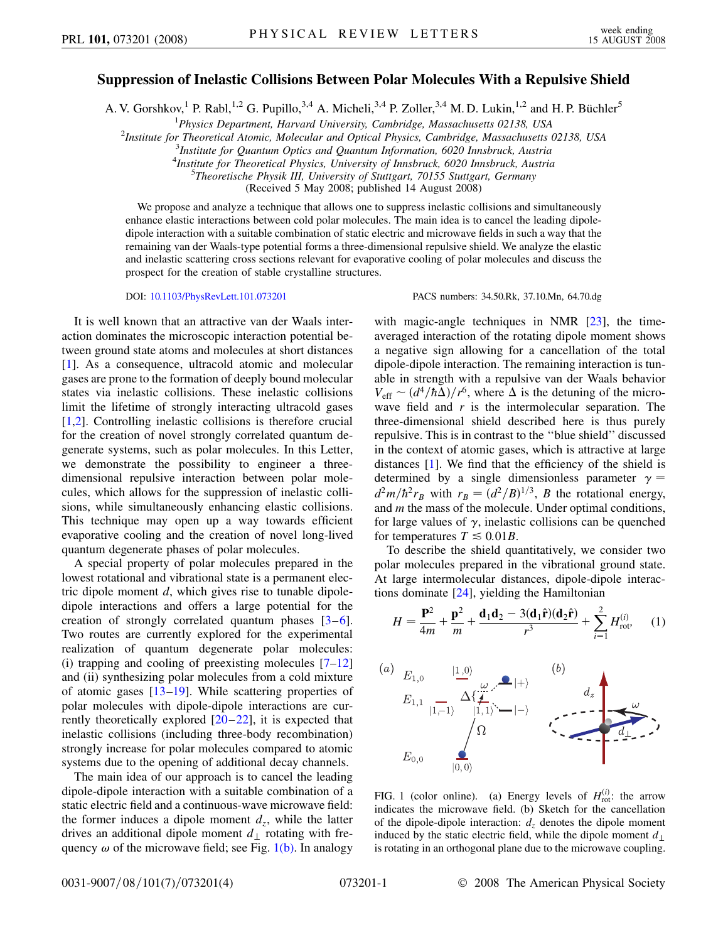## **Suppression of Inelastic Collisions Between Polar Molecules With a Repulsive Shield**

A. V. Gorshkov,<sup>1</sup> P. Rabl,<sup>1,2</sup> G. Pupillo,<sup>3,4</sup> A. Micheli,<sup>3,4</sup> P. Zoller,<sup>3,4</sup> M. D. Lukin,<sup>1,2</sup> and H. P. Büchler<sup>5</sup>

<sup>1</sup>Physics Department, Harvard University, Cambridge, Massachusetts 02138, USA<sup>2</sup><br><sup>2</sup>Institute for Theoretical Atomic, Molecular and Optical Physics, Cambridge, Massachusetts to

<sup>2</sup>Institute for Theoretical Atomic, Molecular and Optical Physics, Cambridge, Massachusetts 02138, USA

*Institute for Quantum Optics and Quantum Information, 6020 Innsbruck, Austria*

<sup>4</sup><br>*Institute for Theoretical Physics, University of Innsbruck, 6020 Innsbruck, Austria*<br><sup>5</sup>Theoretische Physik III, University of Stuttgart, 70155 Stuttgart, Germany

*Theoretische Physik III, University of Stuttgart, 70155 Stuttgart, Germany*

(Received 5 May 2008; published 14 August 2008)

We propose and analyze a technique that allows one to suppress inelastic collisions and simultaneously enhance elastic interactions between cold polar molecules. The main idea is to cancel the leading dipoledipole interaction with a suitable combination of static electric and microwave fields in such a way that the remaining van der Waals-type potential forms a three-dimensional repulsive shield. We analyze the elastic and inelastic scattering cross sections relevant for evaporative cooling of polar molecules and discuss the prospect for the creation of stable crystalline structures.

DOI: [10.1103/PhysRevLett.101.073201](http://dx.doi.org/10.1103/PhysRevLett.101.073201) PACS numbers: 34.50.Rk, 37.10.Mn, 64.70.dg

It is well known that an attractive van der Waals interaction dominates the microscopic interaction potential between ground state atoms and molecules at short distances [\[1\]](#page-3-0). As a consequence, ultracold atomic and molecular gases are prone to the formation of deeply bound molecular states via inelastic collisions. These inelastic collisions limit the lifetime of strongly interacting ultracold gases [\[1,](#page-3-0)[2](#page-3-1)]. Controlling inelastic collisions is therefore crucial for the creation of novel strongly correlated quantum degenerate systems, such as polar molecules. In this Letter, we demonstrate the possibility to engineer a threedimensional repulsive interaction between polar molecules, which allows for the suppression of inelastic collisions, while simultaneously enhancing elastic collisions. This technique may open up a way towards efficient evaporative cooling and the creation of novel long-lived quantum degenerate phases of polar molecules.

A special property of polar molecules prepared in the lowest rotational and vibrational state is a permanent electric dipole moment *d*, which gives rise to tunable dipoledipole interactions and offers a large potential for the creation of strongly correlated quantum phases [[3](#page-3-2)–[6\]](#page-3-3). Two routes are currently explored for the experimental realization of quantum degenerate polar molecules: (i) trapping and cooling of preexisting molecules  $[7-12]$  $[7-12]$ and (ii) synthesizing polar molecules from a cold mixture of atomic gases  $[13-19]$  $[13-19]$  $[13-19]$ . While scattering properties of polar molecules with dipole-dipole interactions are currently theoretically explored [[20](#page-3-8)–[22](#page-3-9)], it is expected that inelastic collisions (including three-body recombination) strongly increase for polar molecules compared to atomic systems due to the opening of additional decay channels.

The main idea of our approach is to cancel the leading dipole-dipole interaction with a suitable combination of a static electric field and a continuous-wave microwave field: the former induces a dipole moment  $d_z$ , while the latter drives an additional dipole moment  $d_1$  rotating with frequency  $\omega$  of the microwave field; see Fig. [1\(b\)](#page-0-0). In analogy with magic-angle techniques in NMR [\[23\]](#page-3-10), the timeaveraged interaction of the rotating dipole moment shows a negative sign allowing for a cancellation of the total dipole-dipole interaction. The remaining interaction is tunable in strength with a repulsive van der Waals behavior  $V_{\text{eff}} \sim (d^4/\hbar\Delta)/r^6$ , where  $\Delta$  is the detuning of the microwave field and *r* is the intermolecular separation. The three-dimensional shield described here is thus purely repulsive. This is in contrast to the ''blue shield'' discussed in the context of atomic gases, which is attractive at large distances [[1\]](#page-3-0). We find that the efficiency of the shield is determined by a single dimensionless parameter  $\gamma =$  $d^2m/\hbar^2r_B$  with  $r_B=(d^2/B)^{1/3}$ , *B* the rotational energy, and *m* the mass of the molecule. Under optimal conditions, for large values of  $\gamma$ , inelastic collisions can be quenched for temperatures  $T \leq 0.01B$ .

To describe the shield quantitatively, we consider two polar molecules prepared in the vibrational ground state. At large intermolecular distances, dipole-dipole interactions dominate [[24](#page-3-11)], yielding the Hamiltonian

$$
H = \frac{\mathbf{P}^2}{4m} + \frac{\mathbf{p}^2}{m} + \frac{\mathbf{d}_1 \mathbf{d}_2 - 3(\mathbf{d}_1 \hat{\mathbf{r}})(\mathbf{d}_2 \hat{\mathbf{r}})}{r^3} + \sum_{i=1}^2 H_{\text{rot}}^{(i)}.\tag{1}
$$



<span id="page-0-0"></span>FIG. 1 (color online). (a) Energy levels of  $H_{\text{rot}}^{(i)}$ : the arrow indicates the microwave field. (b) Sketch for the cancellation of the dipole-dipole interaction:  $d<sub>z</sub>$  denotes the dipole moment induced by the static electric field, while the dipole moment  $d_{\perp}$ is rotating in an orthogonal plane due to the microwave coupling.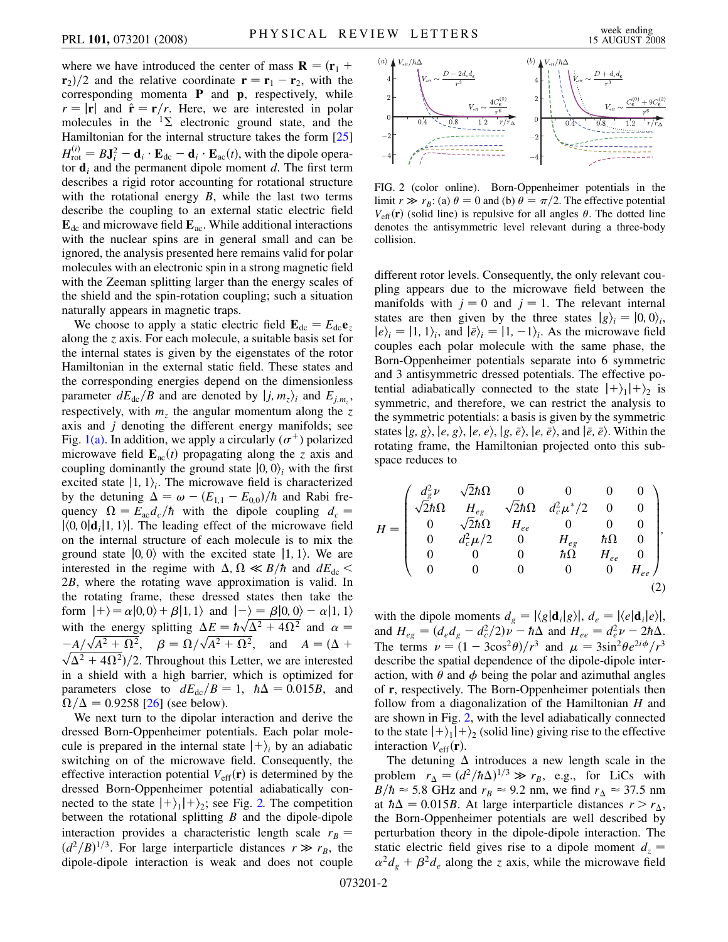where we have introduced the center of mass  $\mathbf{R} = (\mathbf{r}_1 + \mathbf{r}_2)^T$  $\mathbf{r}_2$ /2 and the relative coordinate  $\mathbf{r} = \mathbf{r}_1 - \mathbf{r}_2$ , with the corresponding momenta **P** and **p**, respectively, while  $r = |\mathbf{r}|$  and  $\hat{\mathbf{r}} = \mathbf{r}/r$ . Here, we are interested in polar molecules in the  ${}^{1}\Sigma$  electronic ground state, and the Hamiltonian for the internal structure takes the form [\[25\]](#page-3-12)  $H_{\text{rot}}^{(i)} = B \mathbf{J}_i^2 - \mathbf{d}_i \cdot \mathbf{E}_{\text{dc}} - \mathbf{d}_i \cdot \mathbf{E}_{\text{ac}}(t)$ , with the dipole operator  $\mathbf{d}_i$  and the permanent dipole moment *d*. The first term describes a rigid rotor accounting for rotational structure with the rotational energy *B*, while the last two terms describe the coupling to an external static electric field  $\mathbf{E}_{\text{dc}}$  and microwave field  $\mathbf{E}_{\text{ac}}$ . While additional interactions with the nuclear spins are in general small and can be ignored, the analysis presented here remains valid for polar molecules with an electronic spin in a strong magnetic field with the Zeeman splitting larger than the energy scales of the shield and the spin-rotation coupling; such a situation naturally appears in magnetic traps.

We choose to apply a static electric field  $\mathbf{E}_{dc} = E_{dc} \mathbf{e}_z$ along the *z* axis. For each molecule, a suitable basis set for the internal states is given by the eigenstates of the rotor Hamiltonian in the external static field. These states and the corresponding energies depend on the dimensionless parameter  $dE_{dc}/B$  and are denoted by  $|j, m_z\rangle_i$  and  $E_{j,m_z}$ , respectively, with  $m<sub>z</sub>$  the angular momentum along the *z* axis and *j* denoting the different energy manifolds; see Fig.  $1(a)$ . In addition, we apply a circularly  $(\sigma^+)$  polarized microwave field  $\mathbf{E}_{ac}(t)$  propagating along the *z* axis and coupling dominantly the ground state  $|0, 0\rangle$ <sub>*i*</sub> with the first excited state  $|1, 1\rangle$ . The microwave field is characterized by the detuning  $\Delta = \omega - (E_{1,1} - E_{0,0})/\hbar$  and Rabi frequency  $\Omega = E_{ac} d_c/\hbar$  with the dipole coupling  $d_c =$  $|\langle 0, 0 | \mathbf{d}_i | 1, 1 \rangle|$ . The leading effect of the microwave field on the internal structure of each molecule is to mix the ground state  $|0, 0\rangle$  with the excited state  $|1, 1\rangle$ . We are interested in the regime with  $\Delta$ ,  $\Omega \ll B/\hbar$  and  $dE_{dc}$ 2*B*, where the rotating wave approximation is valid. In the rotating frame, these dressed states then take the form  $|+\rangle = \alpha |0,0\rangle + \beta |1,1\rangle$  and  $|-\rangle = \beta |0,0\rangle - \alpha |1,1\rangle$ form  $|+\rangle = \alpha|0,0\rangle + \beta|1,1\rangle$  and  $|-\rangle = \beta|0,0\rangle - \alpha|1,1\rangle$ <br>with the energy splitting  $\Delta E = \hbar \sqrt{\Delta^2 + 4\Omega^2}$  and  $\alpha =$ with the energy spitting  $\Delta E = n\sqrt{\Delta^2 + 4\Omega^2}$  and  $\alpha = -A/\sqrt{A^2 + \Omega^2}$ ,  $\beta = \Omega/\sqrt{A^2 + \Omega^2}$ , and  $A = (\Delta + \sqrt{A^2 + 4\Omega^2})/2$ .  $\sqrt{\Delta^2 + 4\Omega^2}$ /2. Throughout this Letter, we are interested in a shield with a high barrier, which is optimized for parameters close to  $dE_{dc}/B = 1$ ,  $\hbar \Delta = 0.015B$ , and  $\Omega/\Delta = 0.9258$  [[26](#page-3-13)] (see below).

We next turn to the dipolar interaction and derive the dressed Born-Oppenheimer potentials. Each polar molecule is prepared in the internal state  $|+\rangle$ <sub>i</sub> by an adiabatic switching on of the microwave field. Consequently, the effective interaction potential  $V_{\text{eff}}(\mathbf{r})$  is determined by the dressed Born-Oppenheimer potential adiabatically connected to the state  $|+\rangle_1|+\rangle_2$ ; see Fig. [2.](#page-1-0) The competition between the rotational splitting *B* and the dipole-dipole interaction provides a characteristic length scale  $r_B =$  $(d^2/B)^{1/3}$ . For large interparticle distances  $r \gg r_B$ , the dipole-dipole interaction is weak and does not couple

<span id="page-1-0"></span>

<span id="page-1-1"></span>FIG. 2 (color online). Born-Oppenheimer potentials in the limit  $r \gg r_B$ : (a)  $\theta = 0$  and (b)  $\theta = \pi/2$ . The effective potential  $V_{\text{eff}}(\mathbf{r})$  (solid line) is repulsive for all angles  $\theta$ . The dotted line denotes the antisymmetric level relevant during a three-body collision.

different rotor levels. Consequently, the only relevant coupling appears due to the microwave field between the manifolds with  $j = 0$  and  $j = 1$ . The relevant internal states are then given by the three states  $|g\rangle_i = |0,0\rangle_i$ ,  $|e\rangle_i = |1, 1\rangle_i$ , and  $|\bar{e}\rangle_i = |1, -1\rangle_i$ . As the microwave field couples each polar molecule with the same phase, the Born-Oppenheimer potentials separate into 6 symmetric and 3 antisymmetric dressed potentials. The effective potential adiabatically connected to the state  $|+\rangle_1|+\rangle_2$  is symmetric, and therefore, we can restrict the analysis to the symmetric potentials: a basis is given by the symmetric states  $|g, g\rangle$ ,  $|e, g\rangle$ ,  $|e, e\rangle$ ,  $|g, \bar{e}\rangle$ ,  $|e, \bar{e}\rangle$ , and  $|\bar{e}, \bar{e}\rangle$ . Within the rotating frame, the Hamiltonian projected onto this subspace reduces to

$$
H = \begin{pmatrix} d_g^2 \nu & \sqrt{2} \hbar \Omega & 0 & 0 & 0 & 0 \\ \sqrt{2} \hbar \Omega & H_{eg} & \sqrt{2} \hbar \Omega & d_c^2 \mu^*/2 & 0 & 0 \\ 0 & \sqrt{2} \hbar \Omega & H_{ee} & 0 & 0 & 0 \\ 0 & d_c^2 \mu/2 & 0 & H_{eg} & \hbar \Omega & 0 \\ 0 & 0 & 0 & \hbar \Omega & H_{ee} & 0 \\ 0 & 0 & 0 & 0 & 0 & H_{ee} \end{pmatrix},
$$
\n(2)

with the dipole moments  $d_g = |\langle g | \mathbf{d}_i | g \rangle|$ ,  $d_e = |\langle e | \mathbf{d}_i | e \rangle|$ , and  $H_{eg} = (d_e d_g - d_c^2/2) \nu - \hbar \Delta$  and  $H_{ee} = d_e^2 \nu - 2\hbar \Delta$ . The terms  $\nu = (1 - 3\cos^2\theta)/r^3$  and  $\mu = 3\sin^2\theta e^{2i\phi}/r^3$ describe the spatial dependence of the dipole-dipole interaction, with  $\theta$  and  $\phi$  being the polar and azimuthal angles of **r**, respectively. The Born-Oppenheimer potentials then follow from a diagonalization of the Hamiltonian *H* and are shown in Fig. [2,](#page-1-0) with the level adiabatically connected to the state  $|+\rangle_1|+\rangle_2$  (solid line) giving rise to the effective interaction  $V_{\text{eff}}(\mathbf{r})$ .

The detuning  $\Delta$  introduces a new length scale in the problem  $r_{\Delta} = (d^2/\hbar\Delta)^{1/3} \gg r_B$ , e.g., for LiCs with  $B/\hbar \approx 5.8$  GHz and  $r_B \approx 9.2$  nm, we find  $r_A \approx 37.5$  nm at  $\hbar \Delta = 0.015B$ . At large interparticle distances  $r > r_{\Delta}$ , the Born-Oppenheimer potentials are well described by perturbation theory in the dipole-dipole interaction. The static electric field gives rise to a dipole moment  $d_z =$  $\alpha^2 d_g + \beta^2 d_e$  along the *z* axis, while the microwave field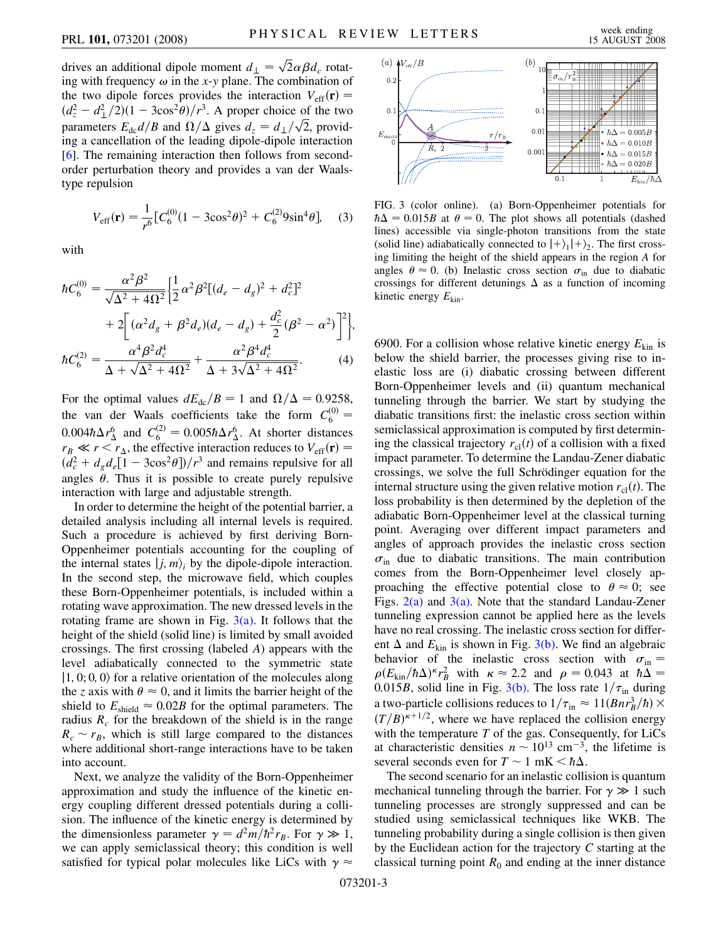drives an additional dipole moment  $d_{\perp} = \sqrt{2} \alpha \beta d_c$  rotating with frequency  $\omega$  in the *x*-*y* plane. The combination of the two dipole forces provides the interaction  $V_{\text{eff}}(\mathbf{r}) =$  $\left(\frac{d_z^2 - d_{\perp}^2}{2}\right)(1 - 3\cos^2{\theta})/r^3$ . A proper choice of the two parameters  $E_{dc}d/B$  and  $\Omega/\Delta$  gives  $d_z = d_{\perp}/\sqrt{2}$ , providing a cancellation of the leading dipole-dipole interaction [\[6\]](#page-3-3). The remaining interaction then follows from secondorder perturbation theory and provides a van der Waalstype repulsion

$$
V_{\rm eff}(\mathbf{r}) = \frac{1}{r^6} \left[ C_6^{(0)} (1 - 3\cos^2 \theta)^2 + C_6^{(2)} 9 \sin^4 \theta \right], \quad (3)
$$

with

$$
\hbar C_6^{(0)} = \frac{\alpha^2 \beta^2}{\sqrt{\Delta^2 + 4\Omega^2}} \left\{ \frac{1}{2} \alpha^2 \beta^2 \left[ (d_e - d_g)^2 + d_c^2 \right]^2 + 2 \left[ (\alpha^2 d_g + \beta^2 d_e)(d_e - d_g) + \frac{d_c^2}{2} (\beta^2 - \alpha^2) \right]^2 \right\},\
$$

$$
\hbar C_6^{(2)} = \frac{\alpha^4 \beta^2 d_c^4}{\Delta + \sqrt{\Delta^2 + 4\Omega^2}} + \frac{\alpha^2 \beta^4 d_c^4}{\Delta + 3\sqrt{\Delta^2 + 4\Omega^2}}.\tag{4}
$$

For the optimal values  $dE_{dc}/B = 1$  and  $\Omega/\Delta = 0.9258$ , the van der Waals coefficients take the form  $C_6^{(0)}$  =  $0.004\hbar\Delta r_{\Delta}^6$  and  $C_6^{(2)} = 0.005\hbar\Delta r_{\Delta}^6$ . At shorter distances  $r_B \ll r \le r_{\Delta}$ , the effective interaction reduces to  $V_{\text{eff}}(\mathbf{r}) =$  $(d_c^2 + d_g d_e [1 - 3\cos^2 \theta])/r^3$  and remains repulsive for all angles  $\theta$ . Thus it is possible to create purely repulsive interaction with large and adjustable strength.

In order to determine the height of the potential barrier, a detailed analysis including all internal levels is required. Such a procedure is achieved by first deriving Born-Oppenheimer potentials accounting for the coupling of the internal states  $|j, m\rangle$ <sub>*i*</sub> by the dipole-dipole interaction. In the second step, the microwave field, which couples these Born-Oppenheimer potentials, is included within a rotating wave approximation. The new dressed levels in the rotating frame are shown in Fig.  $3(a)$ . It follows that the height of the shield (solid line) is limited by small avoided crossings. The first crossing (labeled *A*) appears with the level adiabatically connected to the symmetric state  $|1, 0, 0, 0\rangle$  for a relative orientation of the molecules along the *z* axis with  $\theta \approx 0$ , and it limits the barrier height of the shield to  $E_{\text{shield}} \approx 0.02B$  for the optimal parameters. The radius  $R_c$  for the breakdown of the shield is in the range  $R_c \sim r_B$ , which is still large compared to the distances where additional short-range interactions have to be taken into account.

Next, we analyze the validity of the Born-Oppenheimer approximation and study the influence of the kinetic energy coupling different dressed potentials during a collision. The influence of the kinetic energy is determined by the dimensionless parameter  $\gamma = d^2m/\hbar^2 r_B$ . For  $\gamma \gg 1$ , we can apply semiclassical theory; this condition is well satisfied for typical polar molecules like LiCs with  $\gamma \approx$ 



<span id="page-2-0"></span>FIG. 3 (color online). (a) Born-Oppenheimer potentials for  $\hbar \Delta = 0.015B$  at  $\theta = 0$ . The plot shows all potentials (dashed lines) accessible via single-photon transitions from the state (solid line) adiabatically connected to  $|+\rangle_1|+\rangle_2$ . The first crossing limiting the height of the shield appears in the region *A* for angles  $\theta \approx 0$ . (b) Inelastic cross section  $\sigma_{\text{in}}$  due to diabatic crossings for different detunings  $\Delta$  as a function of incoming kinetic energy *E*kin.

6900. For a collision whose relative kinetic energy *E*kin is below the shield barrier, the processes giving rise to inelastic loss are (i) diabatic crossing between different Born-Oppenheimer levels and (ii) quantum mechanical tunneling through the barrier. We start by studying the diabatic transitions first: the inelastic cross section within semiclassical approximation is computed by first determining the classical trajectory  $r_{cl}(t)$  of a collision with a fixed impact parameter. To determine the Landau-Zener diabatic crossings, we solve the full Schrödinger equation for the internal structure using the given relative motion  $r_{\text{cl}}(t)$ . The loss probability is then determined by the depletion of the adiabatic Born-Oppenheimer level at the classical turning point. Averaging over different impact parameters and angles of approach provides the inelastic cross section  $\sigma_{\text{in}}$  due to diabatic transitions. The main contribution comes from the Born-Oppenheimer level closely approaching the effective potential close to  $\theta \approx 0$ ; see Figs.  $2(a)$  and  $3(a)$ . Note that the standard Landau-Zener tunneling expression cannot be applied here as the levels have no real crossing. The inelastic cross section for different  $\Delta$  and  $E_{kin}$  is shown in Fig. [3\(b\)](#page-2-0). We find an algebraic behavior of the inelastic cross section with  $\sigma_{\text{in}} =$  $\rho(E_{\text{kin}}/\hbar\Delta)^{\kappa}r_B^2$  with  $\kappa \approx 2.2$  and  $\rho = 0.043$  at  $\hbar\Delta =$ 0.015*B*, solid line in Fig. [3\(b\).](#page-2-0) The loss rate  $1/\tau_{\text{in}}$  during a two-particle collisions reduces to  $1/\tau_{\text{in}} \approx 11(Bnr_B^3/\hbar) \times$  $(T/B)^{\kappa+1/2}$ , where we have replaced the collision energy with the temperature *T* of the gas. Consequently, for LiCs at characteristic densities  $n \sim 10^{13}$  cm<sup>-3</sup>, the lifetime is several seconds even for  $T \sim 1$  mK  $\lt \hbar \Delta$ .

The second scenario for an inelastic collision is quantum mechanical tunneling through the barrier. For  $\gamma \gg 1$  such tunneling processes are strongly suppressed and can be studied using semiclassical techniques like WKB. The tunneling probability during a single collision is then given by the Euclidean action for the trajectory *C* starting at the classical turning point  $R_0$  and ending at the inner distance